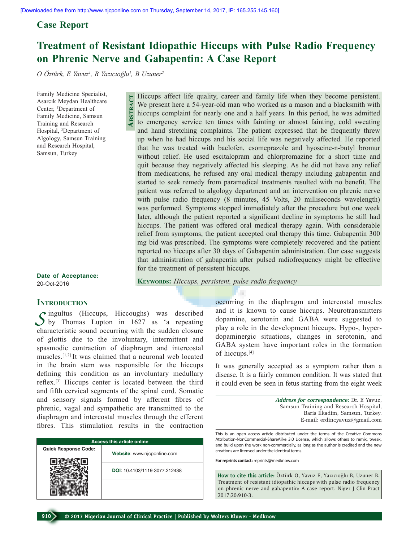## **Case Report**

# **Treatment of Resistant Idiopathic Hiccups with Pulse Radio Frequency on Phrenic Nerve and Gabapentin: A Case Report**

*O Öztürk, E Yavuz<sup>1</sup> , B Yazıcıoğlu<sup>1</sup> , B Uzuner2*

**Abstract**

Family Medicine Specialist, Asarcık Meydan Healthcare Center, 1 Department of Family Medicine, Samsun Training and Research Hospital, 2 Department of Algology, Samsun Training and Research Hospital, Samsun, Turkey

Hiccups affect life quality, career and family life when they become persistent. We present here a 54-year-old man who worked as a mason and a blacksmith with hiccups complaint for nearly one and a half years. In this period, he was admitted to emergency service ten times with fainting or almost fainting, cold sweating and hand stretching complaints. The patient expressed that he frequently threw up when he had hiccups and his social life was negatively affected. He reported that he was treated with baclofen, esomeprazole and hyoscine-n-butyl bromur without relief. He used escitalopram and chlorpromazine for a short time and quit because they negatively affected his sleeping. As he did not have any relief from medications, he refused any oral medical therapy including gabapentin and started to seek remedy from paramedical treatments resulted with no benefit. The patient was referred to algology department and an intervention on phrenic nerve with pulse radio frequency (8 minutes, 45 Volts, 20 milliseconds wavelength) was performed. Symptoms stopped immediately after the procedure but one week later, although the patient reported a significant decline in symptoms he still had hiccups. The patient was offered oral medical therapy again. With considerable relief from symptoms, the patient accepted oral therapy this time. Gabapentin 300 mg bid was prescribed. The symptoms were completely recovered and the patient reported no hiccups after 30 days of Gabapentin administration. Our case suggests that administration of gabapentin after pulsed radiofrequency might be effective for the treatment of persistent hiccups.

**Date of Acceptance:** 20-Oct-2016

**KEYWORDS:** *Hiccups, persistent, pulse radio frequency* 

#### **INTRODUCTION**

Singultus (Hiccups, Hiccoughs) was described<br>by Thomas Lupton in 1627 as 'a repeating characteristic sound occurring with the sudden closure of glottis due to the involuntary, intermittent and spasmodic contraction of diaphragm and intercostal muscles.[1,2] It was claimed that a neuronal web located in the brain stem was responsible for the hiccups defining this condition as an involuntary medullary reflex.[3] Hiccups center is located between the third and fifth cervical segments of the spinal cord. Somatic and sensory signals formed by afferent fibres of phrenic, vagal and sympathetic are transmitted to the diaphragm and intercostal muscles through the efferent fibres. This stimulation results in the contraction

| <b>Access this article online</b> |                               |
|-----------------------------------|-------------------------------|
| <b>Quick Response Code:</b>       | Website: www.njcponline.com   |
|                                   | DOI: 10.4103/1119-3077.212438 |
|                                   |                               |

occurring in the diaphragm and intercostal muscles and it is known to cause hiccups. Neurotransmitters dopamine, serotonin and GABA were suggested to play a role in the development hiccups. Hypo-, hyperdopaminergic situations, changes in serotonin, and GABA system have important roles in the formation of hiccups.[4]

It was generally accepted as a symptom rather than a disease. It is a fairly common condition. It was stated that it could even be seen in fetus starting from the eight week

> *Address for correspondence:* Dr. E Yavuz, Samsun Training and Research Hospital, Baris Ilkadim, Samsun, Turkey. E-mail: erdincyavuz@gmail.com

This is an open access article distributed under the terms of the Creative Commons Attribution-NonCommercial-ShareAlike 3.0 License, which allows others to remix, tweak, and build upon the work non-commercially, as long as the author is credited and the new creations are licensed under the identical terms.

**For reprints contact:** reprints@medknow.com

**How to cite this article:** Öztürk O, Yavuz E, Yazıcıoğlu B, Uzuner B. Treatment of resistant idiopathic hiccups with pulse radio frequency on phrenic nerve and gabapentin: A case report. Niger J Clin Pract 2017;20:910-3.

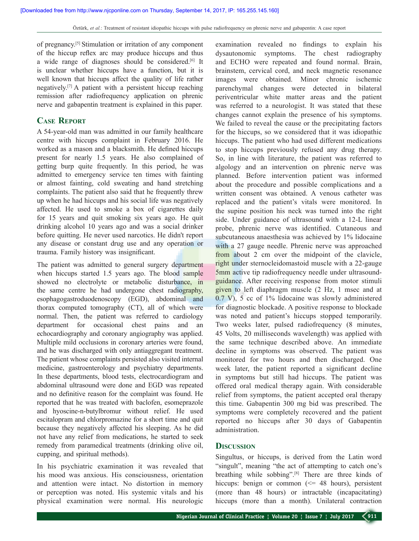of pregnancy.[5] Stimulation or irritation of any component of the hiccup reflex arc may produce hiccups and thus a wide range of diagnoses should be considered.<sup>[6]</sup> It is unclear whether hiccups have a function, but it is well known that hiccups affect the quality of life rather negatively.[7] A patient with a persistent hiccup reaching remission after radiofrequency application on phrenic nerve and gabapentin treatment is explained in this paper.

## **Case Report**

A 54-year-old man was admitted in our family healthcare centre with hiccups complaint in February 2016. He worked as a mason and a blacksmith. He defined hiccups present for nearly 1.5 years. He also complained of getting burp quite frequently. In this period, he was admitted to emergency service ten times with fainting or almost fainting, cold sweating and hand stretching complaints. The patient also said that he frequently threw up when he had hiccups and his social life was negatively affected. He used to smoke a box of cigarettes daily for 15 years and quit smoking six years ago. He quit drinking alcohol 10 years ago and was a social drinker before quitting. He never used narcotics. He didn't report any disease or constant drug use and any operation or trauma. Family history was insignificant.

The patient was admitted to general surgery department when hiccups started 1.5 years ago. The blood sample showed no electrolyte or metabolic disturbance, in the same centre he had undergone chest radiography, esophagogastroduodenoscopy (EGD), abdominal and thorax computed tomography (CT), all of which were normal. Then, the patient was referred to cardiology department for occasional chest pains and an echocardiography and coronary angiography was applied. Multiple mild occlusions in coronary arteries were found, and he was discharged with only antiaggregant treatment. The patient whose complaints persisted also visited internal medicine, gastroenterology and psychiatry departments. In these departments, blood tests, electrocardiogram and abdominal ultrasound were done and EGD was repeated and no definitive reason for the complaint was found. He reported that he was treated with baclofen, esomeprazole and hyoscine-n-butylbromur without relief. He used escitalopram and chlorpromazine for a short time and quit because they negatively affected his sleeping. As he did not have any relief from medications, he started to seek remedy from paramedical treatments (drinking olive oil, cupping, and spiritual methods).

In his psychiatric examination it was revealed that his mood was anxious. His consciousness, orientation and attention were intact. No distortion in memory or perception was noted. His systemic vitals and his physical examination were normal. His neurologic

examination revealed no findings to explain his dysautonomic symptoms. The chest radiography and ECHO were repeated and found normal. Brain, brainstem, cervical cord, and neck magnetic resonance images were obtained. Minor chronic ischemic parenchymal changes were detected in bilateral periventricular white matter areas and the patient was referred to a neurologist. It was stated that these changes cannot explain the presence of his symptoms. We failed to reveal the cause or the precipitating factors for the hiccups, so we considered that it was idiopathic hiccups. The patient who had used different medications to stop hiccups previously refused any drug therapy. So, in line with literature, the patient was referred to algology and an intervention on phrenic nerve was planned. Before intervention patient was informed about the procedure and possible complications and a written consent was obtained. A venous catheter was replaced and the patient's vitals were monitored. In the supine position his neck was turned into the right side. Under guidance of ultrasound with a 12-L linear probe, phrenic nerve was identified. Cutaneous and subcutaneous anaesthesia was achieved by 1% lidocaine with a 27 gauge needle. Phrenic nerve was approached from about 2 cm over the midpoint of the clavicle, right under sternocleidomastoid muscle with a 22-gauge 5mm active tip radiofrequency needle under ultrasoundguidance. After receiving response from motor stimuli given to left diaphragm muscle (2 Hz, 1 msec and at 0.7 V), 5 cc of 1% lidocaine was slowly administered for diagnostic blockade. A positive response to blockade was noted and patient's hiccups stopped temporarily. Two weeks later, pulsed radiofrequency (8 minutes, 45 Volts, 20 milliseconds wavelength) was applied with the same technique described above. An immediate decline in symptoms was observed. The patient was monitored for two hours and then discharged. One week later, the patient reported a significant decline in symptoms but still had hiccups. The patient was offered oral medical therapy again. With considerable relief from symptoms, the patient accepted oral therapy this time. Gabapentin 300 mg bid was prescribed. The symptoms were completely recovered and the patient reported no hiccups after 30 days of Gabapentin administration.

#### **Discussion**

Singultus, or hiccups, is derived from the Latin word "singult", meaning "the act of attempting to catch one's breathing while sobbing".[8] There are three kinds of hiccups: benign or common  $\ll$  48 hours), persistent (more than 48 hours) or intractable (incapacitating) hiccups (more than a month). Unilateral contraction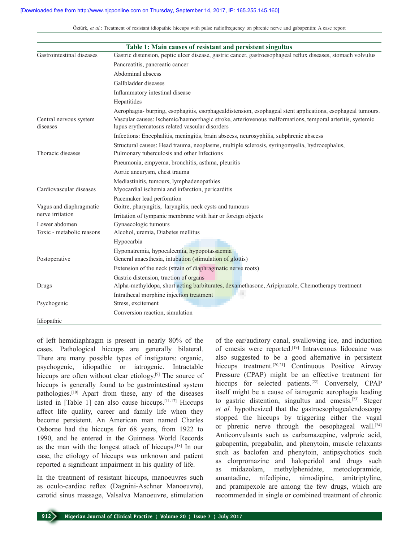| Table 1: Main causes of resistant and persistent singultus |                                                                                                                                                                                                                                                                          |
|------------------------------------------------------------|--------------------------------------------------------------------------------------------------------------------------------------------------------------------------------------------------------------------------------------------------------------------------|
| Gastrointestinal diseases                                  | Gastric distension, peptic ulcer disease, gastric cancer, gastroesophageal reflux diseases, stomach volvulus                                                                                                                                                             |
|                                                            | Pancreatitis, pancreatic cancer                                                                                                                                                                                                                                          |
|                                                            | Abdominal abscess                                                                                                                                                                                                                                                        |
|                                                            | Gallbladder diseases                                                                                                                                                                                                                                                     |
|                                                            | Inflammatory intestinal disease                                                                                                                                                                                                                                          |
|                                                            | Hepatitides                                                                                                                                                                                                                                                              |
| Central nervous system<br>diseases                         | Aerophagia- burping, esophagitis, esophagealdistension, esophageal stent applications, esophageal tumours.<br>Vascular causes: Ischemic/haemorrhagic stroke, arteriovenous malformations, temporal arteritis, systemic<br>lupus erythematosus related vascular disorders |
|                                                            | Infections: Encephalitis, meningitis, brain abscess, neurosyphilis, subphrenic abscess                                                                                                                                                                                   |
| Thoracic diseases                                          | Structural causes: Head trauma, neoplasms, multiple sclerosis, syringomyelia, hydrocephalus,<br>Pulmonary tuberculosis and other Infections                                                                                                                              |
|                                                            | Pneumonia, empyema, bronchitis, asthma, pleuritis                                                                                                                                                                                                                        |
|                                                            | Aortic aneurysm, chest trauma                                                                                                                                                                                                                                            |
|                                                            | Mediastinitis, tumours, lymphadenopathies                                                                                                                                                                                                                                |
| Cardiovascular diseases                                    | Myocardial ischemia and infarction, pericarditis                                                                                                                                                                                                                         |
|                                                            | Pacemaker lead perforation                                                                                                                                                                                                                                               |
| Vagus and diaphragmatic<br>nerve irritation                | Goitre, pharyngitis, laryngitis, neck cysts and tumours                                                                                                                                                                                                                  |
|                                                            | Irritation of tympanic membrane with hair or foreign objects                                                                                                                                                                                                             |
| Lower abdomen                                              | Gynaecologic tumours                                                                                                                                                                                                                                                     |
| Toxic - metabolic reasons                                  | Alcohol, uremia, Diabetes mellitus                                                                                                                                                                                                                                       |
|                                                            | Hypocarbia                                                                                                                                                                                                                                                               |
| Postoperative                                              | Hyponatremia, hypocalcemia, hypopotassaemia<br>General anaesthesia, intubation (stimulation of glottis)                                                                                                                                                                  |
|                                                            | Extension of the neck (strain of diaphragmatic nerve roots)                                                                                                                                                                                                              |
|                                                            | Gastric distension, traction of organs                                                                                                                                                                                                                                   |
| Drugs                                                      | Alpha-methyldopa, short acting barbiturates, dexamethasone, Aripiprazole, Chemotherapy treatment                                                                                                                                                                         |
|                                                            | Intrathecal morphine injection treatment                                                                                                                                                                                                                                 |
| Psychogenic                                                | Stress, excitement                                                                                                                                                                                                                                                       |
|                                                            | Conversion reaction, simulation                                                                                                                                                                                                                                          |
| Idiopathic                                                 |                                                                                                                                                                                                                                                                          |

Öztürk, *et al.*: Treatment of resistant idiopathic hiccups with pulse radiofrequency on phrenic nerve and gabapentin: A case report

of left hemidiaphragm is present in nearly 80% of the cases. Pathological hiccups are generally bilateral. There are many possible types of instigators: organic, psychogenic, idiopathic or iatrogenic. Intractable hiccups are often without clear etiology.<sup>[9]</sup> The source of hiccups is generally found to be gastrointestinal system pathologies.[10] Apart from these, any of the diseases listed in [Table 1] can also cause hiccups.[11-17] Hiccups affect life quality, career and family life when they become persistent. An American man named Charles Osborne had the hiccups for 68 years, from 1922 to 1990, and he entered in the Guinness World Records as the man with the longest attack of hiccups.[18] In our case, the etiology of hiccups was unknown and patient reported a significant impairment in his quality of life.

In the treatment of resistant hiccups, manoeuvres such as oculo-cardiac reflex (Dagnini-Aschner Manoeuvre), carotid sinus massage, Valsalva Manoeuvre, stimulation

of the ear/auditory canal, swallowing ice, and induction of emesis were reported.<sup>[19]</sup> Intravenous lidocaine was also suggested to be a good alternative in persistent hiccups treatment.<sup>[20,21]</sup> Continuous Positive Airway Pressure (CPAP) might be an effective treatment for hiccups for selected patients.<sup>[22]</sup> Conversely, CPAP itself might be a cause of iatrogenic aerophagia leading to gastric distention, singultus and emesis.[23] Steger *et al.* hypothesized that the gastroesophagealendoscopy stopped the hiccups by triggering either the vagal or phrenic nerve through the oesophageal wall. $[24]$ Anticonvulsants such as carbamazepine, valproic acid, gabapentin, pregabalin, and phenytoin, muscle relaxants such as baclofen and phenytoin, antipsychotics such as clorpromazine and haloperidol and drugs such as midazolam, methylphenidate, metoclopramide, amantadine, nifedipine, nimodipine, amitriptyline, and pramipexole are among the few drugs, which are recommended in single or combined treatment of chronic